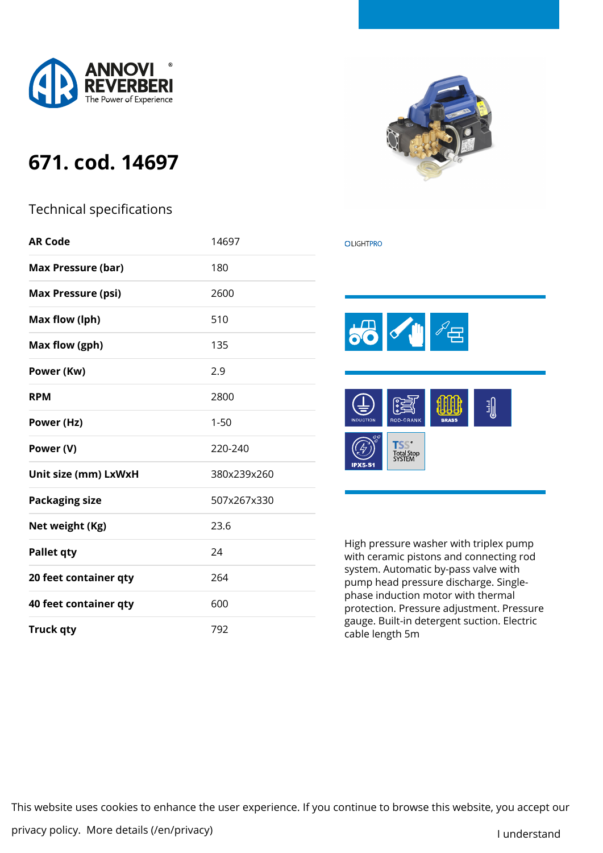

## **671. cod. 14697**

## Technical specifications

| <b>AR Code</b>                      | 14697       |  |  |
|-------------------------------------|-------------|--|--|
| <b>Max Pressure (bar)</b>           | 180         |  |  |
| <b>Max Pressure (psi)</b>           | 2600        |  |  |
| Max flow (lph)                      | 510         |  |  |
| Max flow (gph)                      | 135         |  |  |
| Power (Kw)                          | 2.9         |  |  |
| <b>RPM</b>                          | 2800        |  |  |
| Power (Hz)                          | $1 - 50$    |  |  |
| Power (V)                           | 220-240     |  |  |
| Unit size (mm) LxWxH<br>380x239x260 |             |  |  |
| <b>Packaging size</b>               | 507x267x330 |  |  |
| Net weight (Kg)                     | 23.6        |  |  |
| <b>Pallet qty</b>                   | 24          |  |  |
| 20 feet container qty               | 264         |  |  |
| 40 feet container qty               | 600         |  |  |
| <b>Truck qty</b>                    | 792         |  |  |



## **OLIGHTPRO**



High pressure washer with triplex pump with ceramic pistons and connecting rod system. Automatic by-pass valve with pump head pressure discharge. Singlephase induction motor with thermal protection. Pressure adjustment. Pressure gauge. Built-in detergent suction. Electric cable length 5m

This website uses cookies to enhance the user experience. If you continue to browse this website, you accept our

privacy policy. [More details \(/en/privacy\)](https://www.annovireverberi.it/en/privacy) and the state of the state of the state of the state of the state o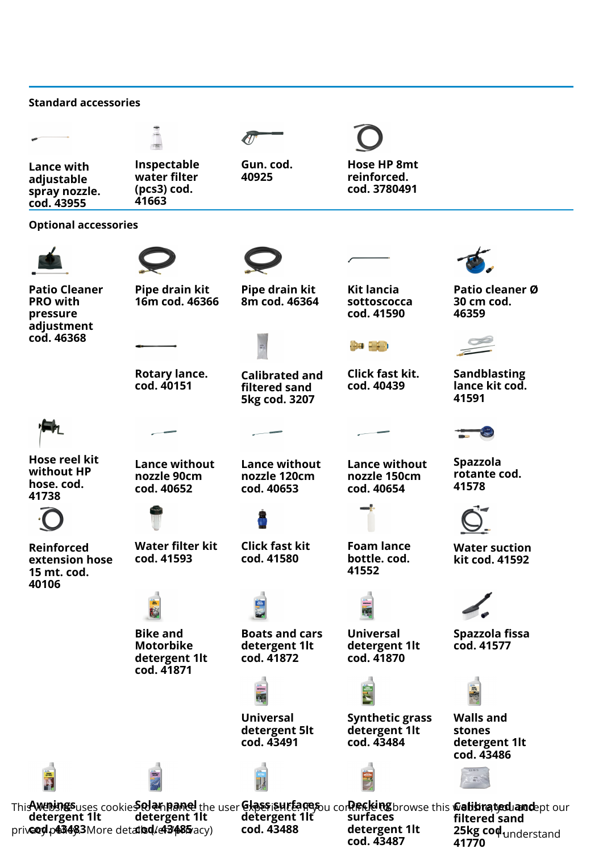| <b>Standard accessories</b>                                       |                                                                    |                                                         |                                                       |                                                                                                                                                                                                     |
|-------------------------------------------------------------------|--------------------------------------------------------------------|---------------------------------------------------------|-------------------------------------------------------|-----------------------------------------------------------------------------------------------------------------------------------------------------------------------------------------------------|
|                                                                   |                                                                    |                                                         |                                                       |                                                                                                                                                                                                     |
| Lance with<br>adjustable<br>spray nozzle.<br>cod. 43955           | Inspectable<br>water filter<br>(pcs3) cod.<br>41663                | Gun. cod.<br>40925                                      | <b>Hose HP 8mt</b><br>reinforced.<br>cod. 3780491     |                                                                                                                                                                                                     |
| <b>Optional accessories</b>                                       |                                                                    |                                                         |                                                       |                                                                                                                                                                                                     |
|                                                                   |                                                                    |                                                         |                                                       |                                                                                                                                                                                                     |
| <b>Patio Cleaner</b><br><b>PRO with</b><br>pressure<br>adjustment | Pipe drain kit<br>16m cod. 46366                                   | Pipe drain kit<br>8m cod. 46364                         | <b>Kit lancia</b><br>sottoscocca<br>cod. 41590        | Patio cleaner Ø<br>30 cm cod.<br>46359                                                                                                                                                              |
| cod. 46368                                                        |                                                                    |                                                         | <b>1944 - 1945 - 1946 - 1946 - 1946 - 1946</b>        |                                                                                                                                                                                                     |
|                                                                   | Rotary lance.<br>cod. 40151                                        | <b>Calibrated and</b><br>filtered sand<br>5kg cod. 3207 | <b>Click fast kit.</b><br>cod. 40439                  | <b>Sandblasting</b><br>lance kit cod.<br>41591                                                                                                                                                      |
|                                                                   |                                                                    |                                                         |                                                       |                                                                                                                                                                                                     |
| Hose reel kit<br>without HP<br>hose. cod.<br>41738                | <b>Lance without</b><br>nozzle 90cm<br>cod. 40652                  | <b>Lance without</b><br>nozzle 120cm<br>cod. 40653      | <b>Lance without</b><br>nozzle 150cm<br>cod. 40654    | <b>Spazzola</b><br>rotante cod.<br>41578                                                                                                                                                            |
|                                                                   |                                                                    |                                                         |                                                       |                                                                                                                                                                                                     |
| <b>Reinforced</b><br>extension hose<br>15 mt. cod.<br>40106       | <b>Water filter kit</b><br>cod. 41593                              | <b>Click fast kit</b><br>cod. 41580                     | <b>Foam lance</b><br>bottle. cod.<br>41552            | <b>Water suction</b><br>kit cod. 41592                                                                                                                                                              |
|                                                                   | K                                                                  |                                                         |                                                       |                                                                                                                                                                                                     |
|                                                                   | <b>Bike and</b><br><b>Motorbike</b><br>detergent 1lt<br>cod. 41871 | <b>Boats and cars</b><br>detergent 1lt<br>cod. 41872    | <b>Universal</b><br>detergent 1lt<br>cod. 41870       | Spazzola fissa<br>cod. 41577                                                                                                                                                                        |
|                                                                   |                                                                    |                                                         |                                                       |                                                                                                                                                                                                     |
|                                                                   |                                                                    | <b>Universal</b><br>detergent 5lt<br>cod. 43491         | <b>Synthetic grass</b><br>detergent 1lt<br>cod. 43484 | <b>Walls and</b><br>stones<br>detergent 1lt<br>cod. 43486                                                                                                                                           |
|                                                                   |                                                                    |                                                         |                                                       |                                                                                                                                                                                                     |
| detergent 1lt<br>prive od p43483More detailsd/43485 acy)          | detergent 1lt                                                      | detergent 1lt<br>cod. 43488                             | surfaces<br>detergent 1lt                             | Thi <b>s we bings</b> uses cookie <b>s olannanel</b> the user <b>Glass autograp</b> ucor <b>Recking</b> browse this <b>wabbrated and</b> ept our<br>filtered sand<br>25kg cod <sub>understand</sub> |

**cod. 43487**

**41770**